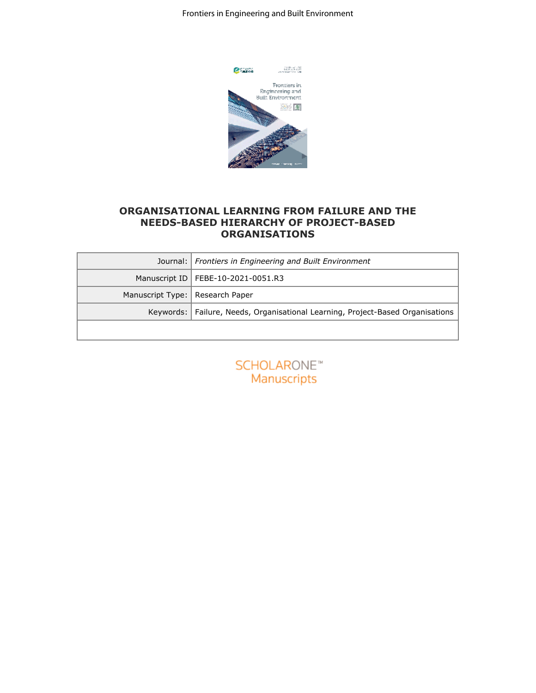Frontiers in Engineering and Built Environment



## **ORGANISATIONAL LEARNING FROM FAILURE AND THE NEEDS-BASED HIERARCHY OF PROJECT-BASED ORGANISATIONS**

| <b>C</b> ination<br>Prontiers in<br>Engineering and<br>Built Environment<br>2015 関            |  |  |
|-----------------------------------------------------------------------------------------------|--|--|
|                                                                                               |  |  |
|                                                                                               |  |  |
|                                                                                               |  |  |
|                                                                                               |  |  |
| ORGANISATIONAL LEARNING FROM FAILURE AND THE<br><b>NEEDS-BASED HIERARCHY OF PROJECT-BASED</b> |  |  |
| <b>ORGANISATIONS</b>                                                                          |  |  |
| Journal:<br>Frontiers in Engineering and Built Environment                                    |  |  |
| Manuscript ID<br>FEBE-10-2021-0051.R3                                                         |  |  |
| Manuscript Type:<br>Research Paper                                                            |  |  |
| Failure, Needs, Organisational Learning, Project-Based Organisations<br>Keywords:             |  |  |
| <b>SCHOLARONE™</b><br>Manuscripts                                                             |  |  |
|                                                                                               |  |  |
|                                                                                               |  |  |
|                                                                                               |  |  |
|                                                                                               |  |  |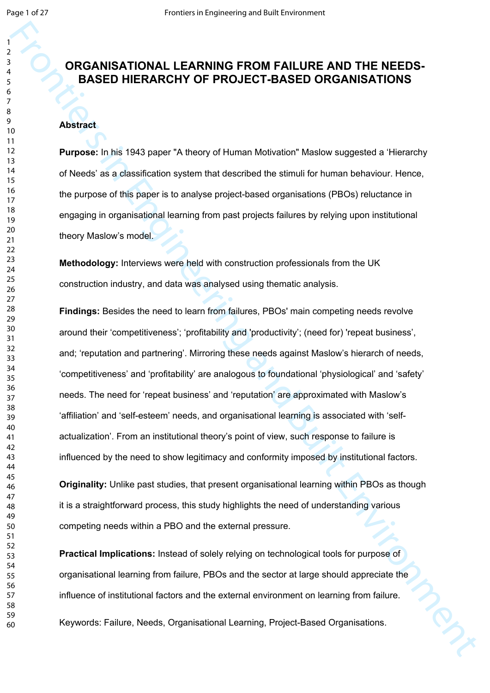# **ORGANISATIONAL LEARNING FROM FAILURE AND THE NEEDS-BASED HIERARCHY OF PROJECT-BASED ORGANISATIONS**

## **Abstract**

**Purpose:** In his 1943 paper "A theory of Human Motivation" Maslow suggested a 'Hierarchy of Needs' as a classification system that described the stimuli for human behaviour. Hence, the purpose of this paper is to analyse project-based organisations (PBOs) reluctance in engaging in organisational learning from past projects failures by relying upon institutional theory Maslow's model.

**Methodology:** Interviews were held with construction professionals from the UK construction industry, and data was analysed using thematic analysis.

FROM THE MEET CONTRAINING FROM FAILURE AND THE NEEDS-<br>
BASED HIERARCHY OF PROJECT-BASED ORCANISATIONS<br>
Abstract<br>
Furnosis, in this 1943 paper 'A fronty of Human Molvator Massive supported a "Herecovy<br>
of Needa" as a disast **Findings:** Besides the need to learn from failures, PBOs' main competing needs revolve around their 'competitiveness'; 'profitability and 'productivity'; (need for) 'repeat business', and; 'reputation and partnering'. Mirroring these needs against Maslow's hierarch of needs, 'competitiveness' and 'profitability' are analogous to foundational 'physiological' and 'safety' needs. The need for 'repeat business' and 'reputation' are approximated with Maslow's 'affiliation' and 'self-esteem' needs, and organisational learning is associated with 'selfactualization'. From an institutional theory's point of view, such response to failure is influenced by the need to show legitimacy and conformity imposed by institutional factors.

**Originality:** Unlike past studies, that present organisational learning within PBOs as though it is a straightforward process, this study highlights the need of understanding various competing needs within a PBO and the external pressure.

**Practical Implications:** Instead of solely relying on technological tools for purpose of organisational learning from failure, PBOs and the sector at large should appreciate the influence of institutional factors and the external environment on learning from failure. Keywords: Failure, Needs, Organisational Learning, Project-Based Organisations.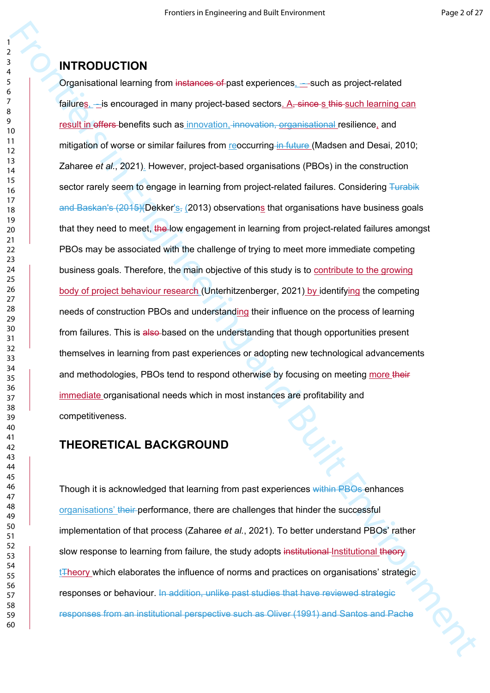# **INTRODUCTION**

Frontiers in Engineering and Built Environment Organisational learning from instances of past experiences, - such as project-related failures,  $-$  is encouraged in many project-based sectors. A, since s this such learning can result in offers-benefits such as innovation, innovation, organisational resilience, and mitigation of worse or similar failures from reoccurring in future (Madsen and Desai, 2010; Zaharee *et al.*, 2021). However, project-based organisations (PBOs) in the construction sector rarely seem to engage in learning from project-related failures. Considering Turabik and Baskan's  $(2015)(\text{Dekker's}_x(2013))$  observations that organisations have business goals that they need to meet, the low engagement in learning from project-related failures amongst PBOs may be associated with the challenge of trying to meet more immediate competing business goals. Therefore, the main objective of this study is to contribute to the growing body of project behaviour research (Unterhitzenberger, 2021) by identifying the competing needs of construction PBOs and understanding their influence on the process of learning from failures. This is also-based on the understanding that though opportunities present themselves in learning from past experiences or adopting new technological advancements and methodologies, PBOs tend to respond otherwise by focusing on meeting more their immediate organisational needs which in most instances are profitability and competitiveness.

# **THEORETICAL BACKGROUND**

Though it is acknowledged that learning from past experiences within PBOs enhances organisations' their performance, there are challenges that hinder the successful implementation of that process (Zaharee *et al.*, 2021). To better understand PBOs' rather slow response to learning from failure, the study adopts institutional Institutional theory  $t$ Theory which elaborates the influence of norms and practices on organisations' strategic responses or behaviour. In addition, unlike past studies that have reviewed strategic responses from an institutional perspective such as Oliver (1991) and Santos and Pache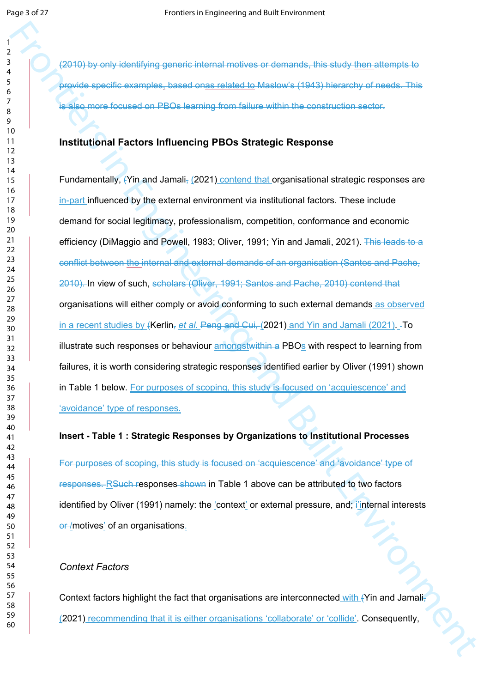(2010) by only identifying generic internal motives or demands, this study then attempts to provide specific examples, based onas related to Maslow's (1943) hierarchy of needs. This is also more focused on PBOs learning from failure within the construction sector.

#### **Institutional Factors Influencing PBOs Strategic Response**

Frontiers in the technologies and control of the consistency of the consistency of the conservative of the conservative of the conservative of the conservative of the conservative of the conservative of the conservative of Fundamentally, (Yin and Jamali, (2021) contend that organisational strategic responses are in-part influenced by the external environment via institutional factors. These include demand for social legitimacy, professionalism, competition, conformance and economic efficiency (DiMaggio and Powell, 1983; Oliver, 1991; Yin and Jamali, 2021). This leads to a conflict between the internal and external demands of an organisation (Santos and Pache, 2010). In view of such, scholars (Oliver, 1991; Santos and Pache, 2010) contend that organisations will either comply or avoid conforming to such external demands as observed in a recent studies by (Kerlin, *et al.* Peng and Cui, (2021) and Yin and Jamali (2021). To illustrate such responses or behaviour amongstwithin a PBOs with respect to learning from failures, it is worth considering strategic responses identified earlier by Oliver (1991) shown in Table 1 below. For purposes of scoping, this study is focused on 'acquiescence' and 'avoidance' type of responses.

#### **Insert - Table 1 : Strategic Responses by Organizations to Institutional Processes**

For purposes of scoping, this study is focused on 'acquiescence' and 'avoidance' type of responses. RSuch responses shown in Table 1 above can be attributed to two factors identified by Oliver (1991) namely: the 'context' or external pressure, and; i'internal interests or /motives' of an organisations.

#### *Context Factors*

Context factors highlight the fact that organisations are interconnected with (Yin and Jamali-(2021) recommending that it is either organisations 'collaborate' or 'collide'. Consequently,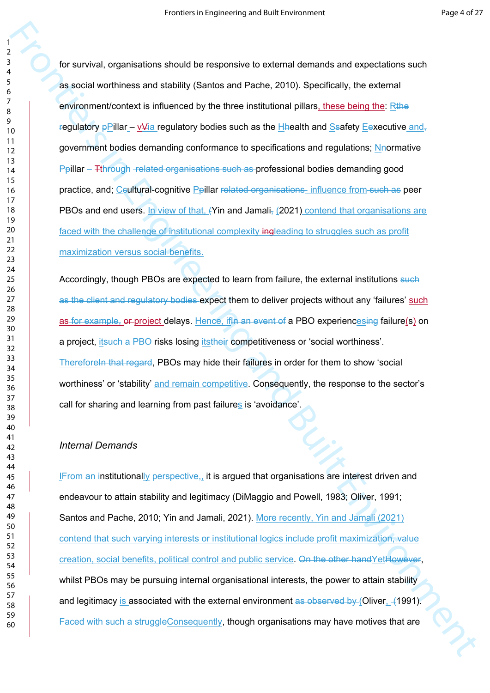For survival, organisations should be restorated to entermis derivations and expectations such<br>
as a social worstmess and attaitivity (since and 19 tark 2010). Specifically, the schemes<br>
organisation of the method of the f for survival, organisations should be responsive to external demands and expectations such as social worthiness and stability (Santos and Pache, 2010). Specifically, the external environment/context is influenced by the three institutional pillars, these being the: Rthe regulatory  $p$ Pillar – v $\frac{p}{q}$  regulatory bodies such as the Hhealth and Ssafety Eexecutive and, government bodies demanding conformance to specifications and regulations; Neormative Ppillar – Tthrough -related organisations such as professional bodies demanding good practice, and; Ceultural-cognitive Ppillar related organisations- influence from such as peer PBOs and end users. In view of that, (Yin and Jamali, (2021) contend that organisations are faced with the challenge of institutional complexity ingleading to struggles such as profit maximization versus social benefits.

Accordingly, though PBOs are expected to learn from failure, the external institutions such as the client and regulatory bodies expect them to deliver projects without any 'failures' such as for example, or project delays. Hence, if in an event of a PBO experiencesing failure(s) on a project, itsuch a PBO risks losing itstheir competitiveness or 'social worthiness'. Therefore In that regard. PBOs may hide their failures in order for them to show 'social worthiness' or 'stability' and remain competitive. Consequently, the response to the sector's call for sharing and learning from past failures is 'avoidance'.

#### *Internal Demands*

IFrom an institutionally perspective,, it is argued that organisations are interest driven and endeavour to attain stability and legitimacy (DiMaggio and Powell, 1983; Oliver, 1991; Santos and Pache, 2010; Yin and Jamali, 2021). More recently, Yin and Jamali (2021) contend that such varying interests or institutional logics include profit maximization, value creation, social benefits, political control and public service. On the other handYetHowever, whilst PBOs may be pursuing internal organisational interests, the power to attain stability and legitimacy is associated with the external environment as observed by (Oliver, 41991). Faced with such a struggleConsequently, though organisations may have motives that are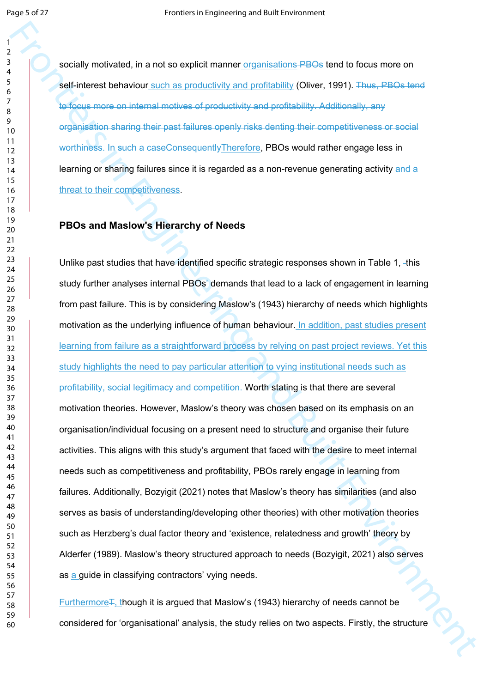socially motivated, in a not so explicit manner organisations **PBOs** tend to focus more on self-interest behaviour such as productivity and profitability (Oliver, 1991). Thus, PBOs tend to focus more on internal motives of productivity and profitability. Additionally, any organisation sharing their past failures openly risks denting their competitiveness or social worthiness. In such a caseConsequentlyTherefore, PBOs would rather engage less in learning or sharing failures since it is regarded as a non-revenue generating activity and a threat to their competitiveness.

### **PBOs and Maslow's Hierarchy of Needs**

Frontiers in a not to condent manner commissions. PROs for the focus more or<br> **Engineering considerable and a** processively and portionally (Diversion), This is the considerable and a<br>
considerable or probability and a str Unlike past studies that have identified specific strategic responses shown in Table 1, -this study further analyses internal PBOs' demands that lead to a lack of engagement in learning from past failure. This is by considering Maslow's (1943) hierarchy of needs which highlights motivation as the underlying influence of human behaviour. In addition, past studies present learning from failure as a straightforward process by relying on past project reviews. Yet this study highlights the need to pay particular attention to vying institutional needs such as profitability, social legitimacy and competition. Worth stating is that there are several motivation theories. However, Maslow's theory was chosen based on its emphasis on an organisation/individual focusing on a present need to structure and organise their future activities. This aligns with this study's argument that faced with the desire to meet internal needs such as competitiveness and profitability, PBOs rarely engage in learning from failures. Additionally, Bozyigit (2021) notes that Maslow's theory has similarities (and also serves as basis of understanding/developing other theories) with other motivation theories such as Herzberg's dual factor theory and 'existence, relatedness and growth' theory by Alderfer (1989). Maslow's theory structured approach to needs (Bozyigit, 2021) also serves as a guide in classifying contractors' vying needs.

Furthermore F, though it is argued that Maslow's (1943) hierarchy of needs cannot be considered for 'organisational' analysis, the study relies on two aspects. Firstly, the structure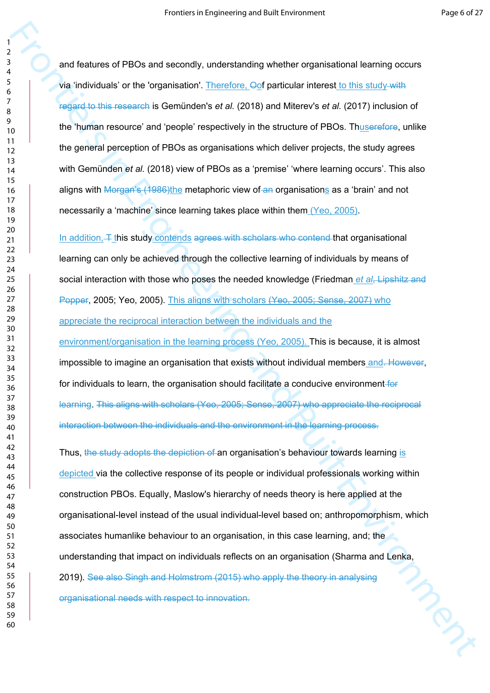and features of PBOs and secondly, understanding whether organisational learning occurs via 'individuals' or the 'organisation'. Therefore, Oof particular interest to this study with regard to this research is Gemünden's *et al.* (2018) and Miterev's *et al.* (2017) inclusion of the 'human resource' and 'people' respectively in the structure of PBOs. Thuserefore, unlike the general perception of PBOs as organisations which deliver projects, the study agrees with Gemünden *et al.* (2018) view of PBOs as a 'premise' 'where learning occurs'. This also aligns with Morgan's (1986)the metaphoric view of an organisations as a 'brain' and not necessarily a 'machine' since learning takes place within them (Yeo, 2005).

In addition,  $\pm$  this study contends agrees with scholars who contend that organisational learning can only be achieved through the collective learning of individuals by means of social interaction with those who poses the needed knowledge (Friedman *et al*, Lipshitz and Popper, 2005; Yeo, 2005). This aligns with scholars (Yeo, 2005; Sense, 2007) who appreciate the reciprocal interaction between the individuals and the

environment/organisation in the learning process (Yeo, 2005). This is because, it is almost impossible to imagine an organisation that exists without individual members and. However, for individuals to learn, the organisation should facilitate a conducive environment for learning. This aligns with scholars (Yeo, 2005; Sense, 2007) who appreciate the reciprocal interaction between the individuals and the environment in the learning process.

From the state of PROs and secondly, understanding whether organisational fearing occurs<br>
From individuals of the Granical Contract C. Oristantial fracteristic transitions of the Christian Contract Contract Contract Contr Thus, the study adopts the depiction of an organisation's behaviour towards learning is depicted via the collective response of its people or individual professionals working within construction PBOs. Equally, Maslow's hierarchy of needs theory is here applied at the organisational-level instead of the usual individual-level based on; anthropomorphism, which associates humanlike behaviour to an organisation, in this case learning, and; the understanding that impact on individuals reflects on an organisation (Sharma and Lenka, 2019). See also Singh and Holmstrom (2015) who apply the theory in analysing organisational needs with respect to innovation.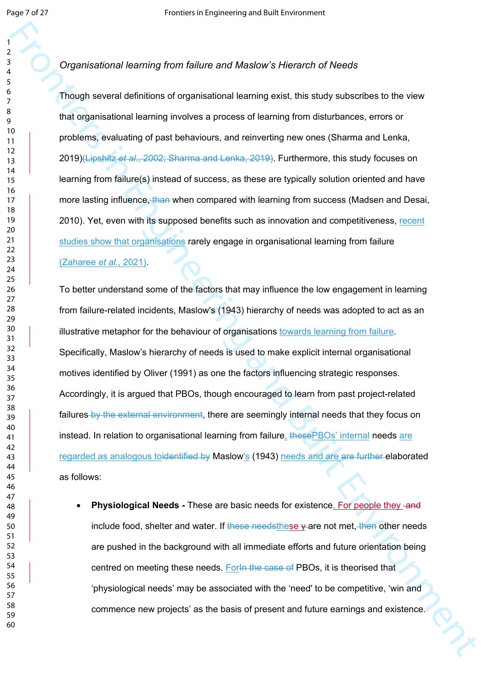#### 

## *Organisational learning from failure and Maslow's Hierarch of Needs*

Though several definitions of organisational learning exist, this study subscribes to the view that organisational learning involves a process of learning from disturbances, errors or problems, evaluating of past behaviours, and reinverting new ones (Sharma and Lenka, 2019)(Lipshitz *et al.,* 2002; Sharma and Lenka, 2019). Furthermore, this study focuses on learning from failure(s) instead of success, as these are typically solution oriented and have more lasting influence, than when compared with learning from success (Madsen and Desai, 2010). Yet, even with its supposed benefits such as innovation and competitiveness, recent studies show that organisations rarely engage in organisational learning from failure (Zaharee *et al.*, 2021).

From the technique and detections of the properties in the state of Needal<br>
Frontiers incrementations of regardinational business in the state subscribes to the viron<br>
Transformation and detections in the state of the stat To better understand some of the factors that may influence the low engagement in learning from failure-related incidents, Maslow's (1943) hierarchy of needs was adopted to act as an illustrative metaphor for the behaviour of organisations towards learning from failure. Specifically, Maslow's hierarchy of needs is used to make explicit internal organisational motives identified by Oliver (1991) as one the factors influencing strategic responses. Accordingly, it is argued that PBOs, though encouraged to learn from past project-related failures by the external environment, there are seemingly internal needs that they focus on instead. In relation to organisational learning from failure, these PBOs' internal needs are regarded as analogous toidentified by Maslow's (1943) needs and are are further elaborated as follows:

**Physiological Needs - These are basic needs for existence. For people they -and** include food, shelter and water. If these needsthese  $\gamma$  are not met, then other needs are pushed in the background with all immediate efforts and future orientation being centred on meeting these needs. For the case of PBOs, it is theorised that 'physiological needs' may be associated with the 'need' to be competitive, 'win and commence new projects' as the basis of present and future earnings and existence.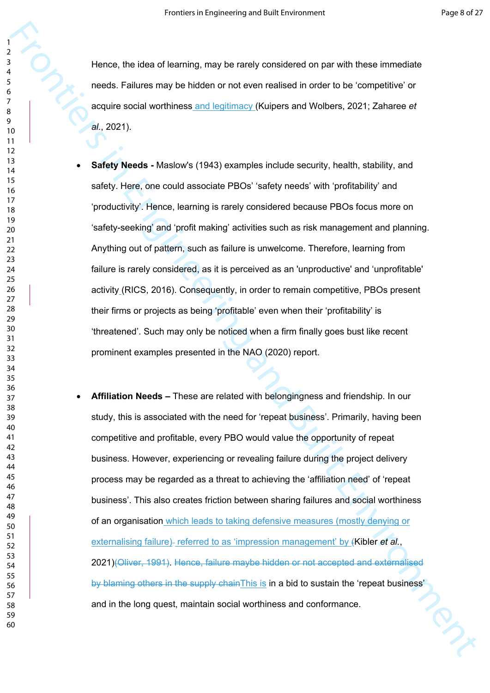Hence, the idea of learning, may be rarely considered on par with these immediate needs. Failures may be hidden or not even realised in order to be 'competitive' or acquire social worthiness and legitimacy (Kuipers and Wolbers, 2021; Zaharee *et al.*, 2021).

- **Safety Needs** Maslow's (1943) examples include security, health, stability, and safety. Here, one could associate PBOs' 'safety needs' with 'profitability' and 'productivity'. Hence, learning is rarely considered because PBOs focus more on 'safety-seeking' and 'profit making' activities such as risk management and planning. Anything out of pattern, such as failure is unwelcome. Therefore, learning from failure is rarely considered, as it is perceived as an 'unproductive' and 'unprofitable' activity (RICS, 2016). Consequently, in order to remain competitive, PBOs present their firms or projects as being 'profitable' even when their 'profitability' is 'threatened'. Such may only be noticed when a firm finally goes bust like recent prominent examples presented in the NAO (2020) report.
- Frontier, the idea of learning, may be needy considered on par with these immediate<br>
meets, Fallices may be indeferse more level means (Malices and Wolbers, 2021; Zaharos et al., 2021).<br>
A sample was continues and leading **Affiliation Needs –** These are related with belongingness and friendship. In our study, this is associated with the need for 'repeat business'. Primarily, having been competitive and profitable, every PBO would value the opportunity of repeat business. However, experiencing or revealing failure during the project delivery process may be regarded as a threat to achieving the 'affiliation need' of 'repeat business'. This also creates friction between sharing failures and social worthiness of an organisation which leads to taking defensive measures (mostly denying or externalising failure)- referred to as 'impression management' by (Kibler *et al.*, 2021)(Oliver, 1991). Hence, failure maybe hidden or not accepted and externalised by blaming others in the supply chain This is in a bid to sustain the 'repeat business' and in the long quest, maintain social worthiness and conformance.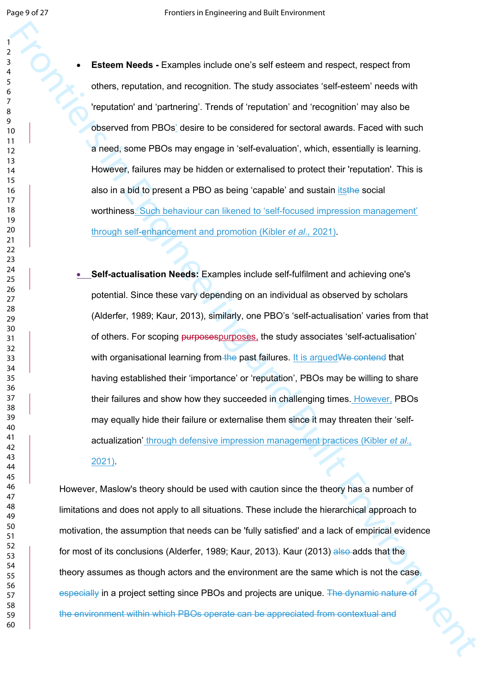**Esteem Needs - Examples include one's self esteem and respect, respect from** others, reputation, and recognition. The study associates 'self-esteem' needs with 'reputation' and 'partnering'. Trends of 'reputation' and 'recognition' may also be observed from PBOs' desire to be considered for sectoral awards. Faced with such a need, some PBOs may engage in 'self-evaluation', which, essentially is learning. However, failures may be hidden or externalised to protect their 'reputation'. This is also in a bid to present a PBO as being 'capable' and sustain itsthe social worthiness. Such behaviour can likened to 'self-focused impression management' through self-enhancement and promotion (Kibler *et al.,* 2021).

From Meeta - Examples include one's self-steem and respect, respect from<br>
The my coupline and recognization The subsyssications of encircles with<br>  $\frac{1}{k}$ <br>  $\frac{1}{k}$ <br>  $\frac{1}{k}$ <br>  $\frac{1}{k}$ <br>  $\frac{1}{k}$ <br>  $\frac{1}{k}$ <br>  $\frac{1}{k}$  **Self-actualisation Needs:** Examples include self-fulfilment and achieving one's potential. Since these vary depending on an individual as observed by scholars (Alderfer, 1989; Kaur, 2013), similarly, one PBO's 'self-actualisation' varies from that of others. For scoping purposespurposes, the study associates 'self-actualisation' with organisational learning from the past failures. It is argued We contend that having established their 'importance' or 'reputation', PBOs may be willing to share their failures and show how they succeeded in challenging times. However, PBOs may equally hide their failure or externalise them since it may threaten their 'selfactualization' through defensive impression management practices (Kibler *et al.,* 2021).

However, Maslow's theory should be used with caution since the theory has a number of limitations and does not apply to all situations. These include the hierarchical approach to motivation, the assumption that needs can be 'fully satisfied' and a lack of empirical evidence for most of its conclusions (Alderfer, 1989; Kaur, 2013). Kaur (2013) also adds that the theory assumes as though actors and the environment are the same which is not the case, especially in a project setting since PBOs and projects are unique. The dynamic nature of the environment within which PBOs operate can be appreciated from contextual and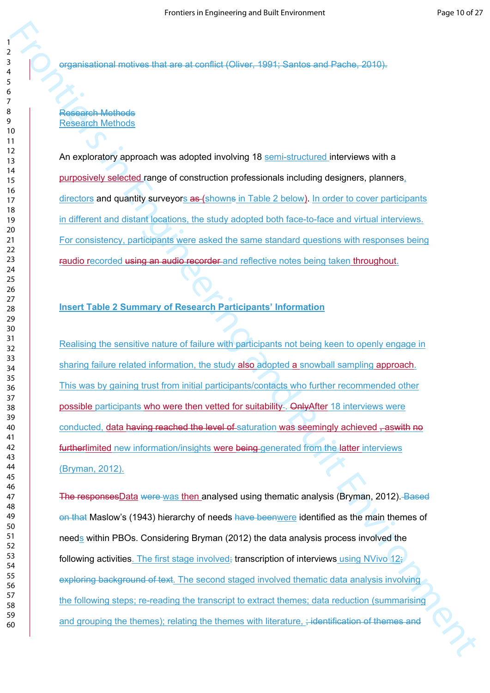organisational motives that are at conflict (Oliver, 1991; Santos and Pache, 2010).

### Research Methods Research Methods

An exploratory approach was adopted involving 18 semi-structured interviews with a purposively selected range of construction professionals including designers, planners, directors and quantity surveyors as (showns in Table 2 below). In order to cover participants in different and distant locations, the study adopted both face-to-face and virtual interviews. For consistency, participants were asked the same standard questions with responses being raudio recorded using an audio recorder and reflective notes being taken throughout.

## **Insert Table 2 Summary of Research Participants' Information**

Realising the sensitive nature of failure with participants not being keen to openly engage in sharing failure related information, the study also adopted a snowball sampling approach. This was by gaining trust from initial participants/contacts who further recommended other possible participants who were then vetted for suitability. Only After 18 interviews were conducted, data having reached the level of saturation was seemingly achieved , aswith no furtherlimited new information/insights were being generated from the latter interviews (Bryman, 2012).

From the matter in the state of the state of the state of the state of the state of the state of the state of the state of the state of the state of the state of the state of the state of the state of the state of the stat The responsesData were was then analysed using thematic analysis (Bryman, 2012). Based on that Maslow's (1943) hierarchy of needs have beenwere identified as the main themes of needs within PBOs. Considering Bryman (2012) the data analysis process involved the following activities. The first stage involved; transcription of interviews using NVivo  $12\frac{1}{3}$ exploring background of text. The second staged involved thematic data analysis involving the following steps; re-reading the transcript to extract themes; data reduction (summarising and grouping the themes); relating the themes with literature, ; identification of themes and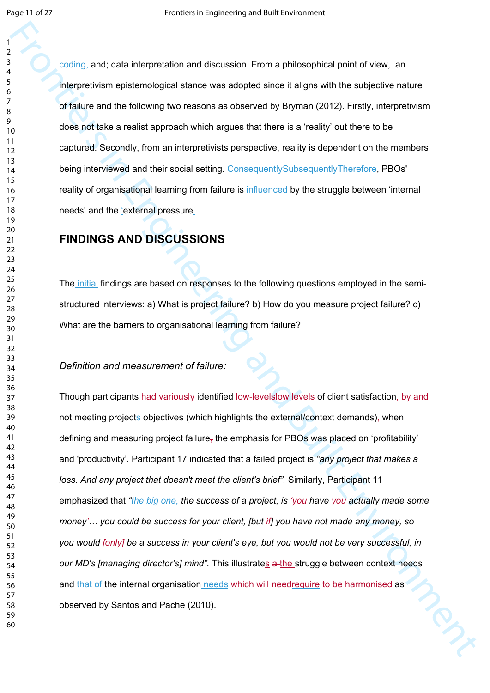coding, and; data interpretation and discussion. From a philosophical point of view, an interpretivism epistemological stance was adopted since it aligns with the subjective nature of failure and the following two reasons as observed by Bryman (2012). Firstly, interpretivism does not take a realist approach which argues that there is a 'reality' out there to be captured. Secondly, from an interpretivists perspective, reality is dependent on the members being interviewed and their social setting. ConsequentlySubsequentlyTherefore, PBOs' reality of organisational learning from failure is influenced by the struggle between 'internal needs' and the 'external pressure'.

# **FINDINGS AND DISCUSSIONS**

The initial findings are based on responses to the following questions employed in the semistructured interviews: a) What is project failure? b) How do you measure project failure? c) What are the barriers to organisational learning from failure?

#### *Definition and measurement of failure:*

From the main and contains and discussion. From a philosophical point of view, an interpretation of discussion and discussion from a philosophical point the subgestive nature<br>
follows and Built Environment of the subset of Though participants had variously identified low-levels of levels of client satisfaction, by and not meeting projects objectives (which highlights the external/context demands), when defining and measuring project failure, the emphasis for PBOs was placed on 'profitability' and 'productivity'. Participant 17 indicated that a failed project is *"any project that makes a loss. And any project that doesn't meet the client's brief".* Similarly, Participant 11 emphasized that *"the big one, the success of a project, is 'you have you actually made some money'… you could be success for your client, [but if] you have not made any money, so you would [only] be a success in your client's eye, but you would not be very successful, in our MD's [managing director's] mind".* This illustrates a the struggle between context needs and that of the internal organisation needs which will needrequire to be harmonised as observed by Santos and Pache (2010).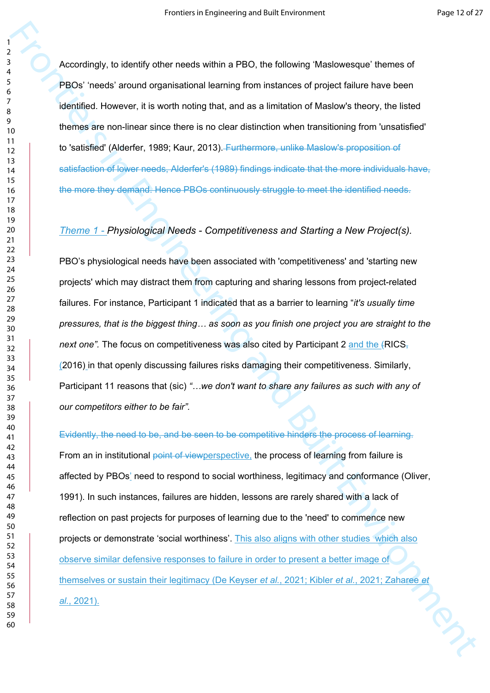Accordingly, to identify other needs within a PBO, the following 'Maslowesque' themes of PBOs' 'needs' around organisational learning from instances of project failure have been identified. However, it is worth noting that, and as a limitation of Maslow's theory, the listed themes are non-linear since there is no clear distinction when transitioning from 'unsatisfied' to 'satisfied' (Alderfer, 1989; Kaur, 2013). Furthermore, unlike Maslow's proposition of satisfaction of lower needs, Alderfer's (1989) findings indicate that the more individuals have, the more they demand. Hence PBOs continuously struggle to meet the identified needs.

#### *Theme 1 - Physiological Needs - Competitiveness and Starting a New Project(s).*

PBO's physiological needs have been associated with 'competitiveness' and 'starting new projects' which may distract them from capturing and sharing lessons from project-related failures. For instance, Participant 1 indicated that as a barrier to learning "*it's usually time pressures, that is the biggest thing… as soon as you finish one project you are straight to the next one".* The focus on competitiveness was also cited by Participant 2 and the (RICS, (2016) in that openly discussing failures risks damaging their competitiveness. Similarly, Participant 11 reasons that (sic) *"…we don't want to share any failures as such with any of our competitors either to be fair".* 

Accordingly, to identify other needs within a PBD, the following Maslovesque' themes of<br>
FBDs resear accuracy agentission alsering from Instantos of points factors in the following the state from the state for the state o Evidently, the need to be, and be seen to be competitive hinders the process of learning. From an in institutional point of viewperspective, the process of learning from failure is affected by PBOs' need to respond to social worthiness, legitimacy and conformance (Oliver, 1991). In such instances, failures are hidden, lessons are rarely shared with a lack of reflection on past projects for purposes of learning due to the 'need' to commence new projects or demonstrate 'social worthiness'. This also aligns with other studies which also observe similar defensive responses to failure in order to present a better image of themselves or sustain their legitimacy (De Keyser *et al.*, 2021; Kibler *et al.*, 2021; Zaharee *et al.*, 2021).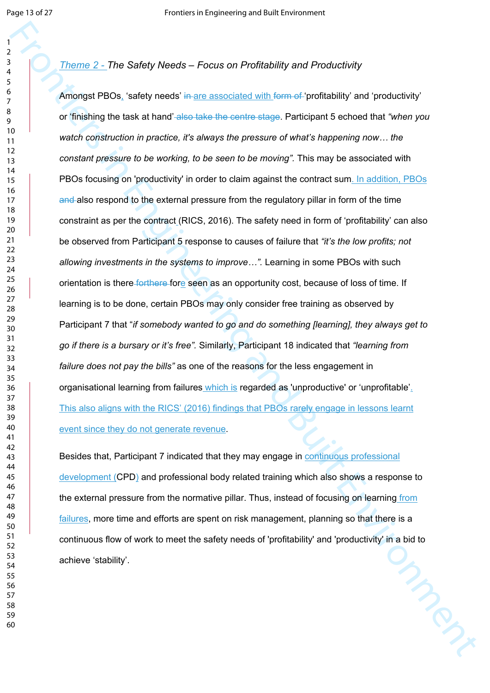#### 

*Theme 2 - The Safety Needs – Focus on Profitability and Productivity*

From 2. The Safety Needs - Focus on Profilability and Productivity<br>
Amongst PROs, haddy vests in an associated with demant profilability and productivity<br>
or finalizing the task at hand asis take the centre esgo. Plantapar Amongst PBOs, 'safety needs' in are associated with form of 'profitability' and 'productivity' or 'finishing the task at hand' also take the centre stage. Participant 5 echoed that *"when you watch construction in practice, it's always the pressure of what's happening now… the constant pressure to be working, to be seen to be moving".* This may be associated with PBOs focusing on 'productivity' in order to claim against the contract sum. In addition, PBOs and also respond to the external pressure from the regulatory pillar in form of the time constraint as per the contract (RICS, 2016). The safety need in form of 'profitability' can also be observed from Participant 5 response to causes of failure that *"it's the low profits; not allowing investments in the systems to improve…".* Learning in some PBOs with such orientation is there forthere fore seen as an opportunity cost, because of loss of time. If learning is to be done, certain PBOs may only consider free training as observed by Participant 7 that "*if somebody wanted to go and do something [learning], they always get to go if there is a bursary or it's free".* Similarly, Participant 18 indicated that *"learning from failure does not pay the bills"* as one of the reasons for the less engagement in organisational learning from failures which is regarded as 'unproductive' or 'unprofitable'. This also aligns with the RICS' (2016) findings that PBOs rarely engage in lessons learnt event since they do not generate revenue.

Besides that, Participant 7 indicated that they may engage in continuous professional development (CPD) and professional body related training which also shows a response to the external pressure from the normative pillar. Thus, instead of focusing on learning from failures, more time and efforts are spent on risk management, planning so that there is a continuous flow of work to meet the safety needs of 'profitability' and 'productivity' in a bid to<br>achieve 'stability'. achieve 'stability'.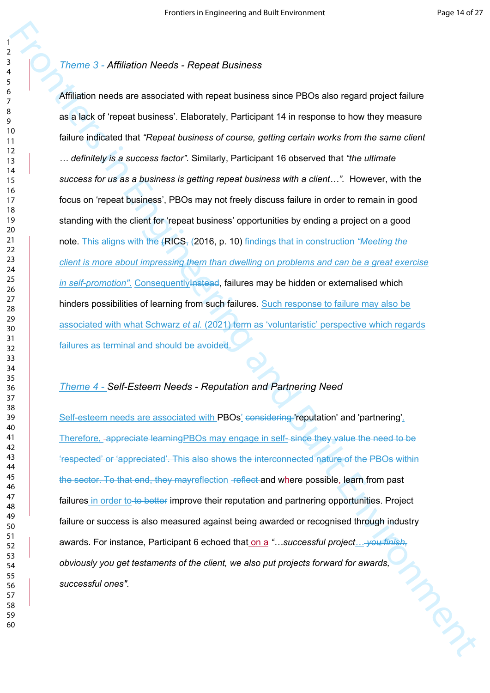#### *Theme 3 - Affiliation Needs - Repeat Business*

From S - Affilied for Needa - Repeat Business<br>
Affiliation meets are assumidate with migrant business since PROs also regard project failure<br>
se al laiot of repeat business: Clabcomby, Participans in the response to how th Affiliation needs are associated with repeat business since PBOs also regard project failure as a lack of 'repeat business'. Elaborately, Participant 14 in response to how they measure failure indicated that *"Repeat business of course, getting certain works from the same client … definitely is a success factor".* Similarly, Participant 16 observed that *"the ultimate success for us as a business is getting repeat business with a client…".* However, with the focus on 'repeat business', PBOs may not freely discuss failure in order to remain in good standing with the client for 'repeat business' opportunities by ending a project on a good note. This aligns with the (RICS, (2016, p. 10) findings that in construction *"Meeting the client is more about impressing them than dwelling on problems and can be a great exercise in self-promotion"*. Consequently *Instead*, failures may be hidden or externalised which hinders possibilities of learning from such failures. Such response to failure may also be associated with what Schwarz *et al.* (2021) term as 'voluntaristic' perspective which regards failures as terminal and should be avoided.

### *Theme 4 - Self-Esteem Needs - Reputation and Partnering Need*

Self-esteem needs are associated with PBOs' considering 'reputation' and 'partnering'. Therefore, appreciate learningPBOs may engage in self- since they value the need to be 'respected' or 'appreciated'. This also shows the interconnected nature of the PBOs within the sector. To that end, they mayreflection -reflect and where possible, learn from past failures in order to to better improve their reputation and partnering opportunities. Project failure or success is also measured against being awarded or recognised through industry awards. For instance, Participant 6 echoed that on a *"…successful project… you finish, obviously you get testaments of the client, we also put projects forward for awards, successful ones".*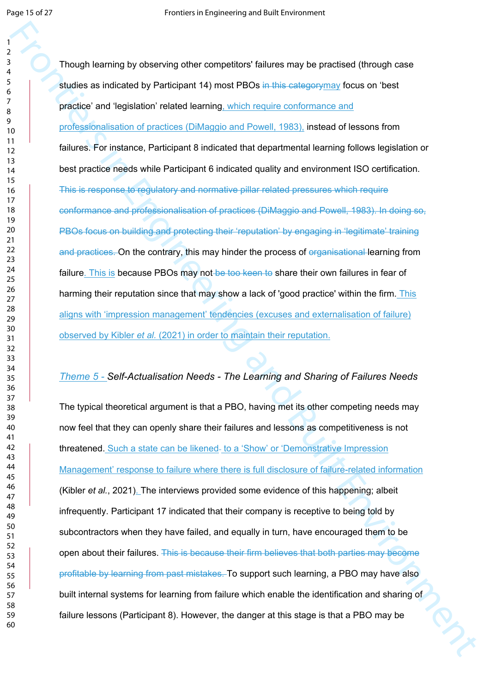Frontier teaming by observing other competitions' failures may be practiced (through case<br>
studies as included by the fighter of single term in the time in the description for case on these<br>
probation and Built Built Envir Though learning by observing other competitors' failures may be practised (through case studies as indicated by Participant 14) most PBOs in this categorymay focus on 'best practice' and 'legislation' related learning, which require conformance and professionalisation of practices (DiMaggio and Powell, 1983), instead of lessons from failures. For instance, Participant 8 indicated that departmental learning follows legislation or best practice needs while Participant 6 indicated quality and environment ISO certification. This is response to regulatory and normative pillar related pressures which require conformance and professionalisation of practices (DiMaggio and Powell, 1983). In doing so, PBOs focus on building and protecting their 'reputation' by engaging in 'legitimate' training and practices. On the contrary, this may hinder the process of organisational learning from failure. This is because PBOs may not be too keen to share their own failures in fear of harming their reputation since that may show a lack of 'good practice' within the firm. This aligns with 'impression management' tendencies (excuses and externalisation of failure) observed by Kibler *et al.* (2021) in order to maintain their reputation.

# *Theme 5 - Self-Actualisation Needs - The Learning and Sharing of Failures Needs*

The typical theoretical argument is that a PBO, having met its other competing needs may now feel that they can openly share their failures and lessons as competitiveness is not threatened. Such a state can be likened- to a 'Show' or 'Demonstrative Impression Management' response to failure where there is full disclosure of failure-related information (Kibler *et al.*, 2021). The interviews provided some evidence of this happening; albeit infrequently. Participant 17 indicated that their company is receptive to being told by subcontractors when they have failed, and equally in turn, have encouraged them to be open about their failures. This is because their firm believes that both parties may become profitable by learning from past mistakes. To support such learning, a PBO may have also built internal systems for learning from failure which enable the identification and sharing of failure lessons (Participant 8). However, the danger at this stage is that a PBO may be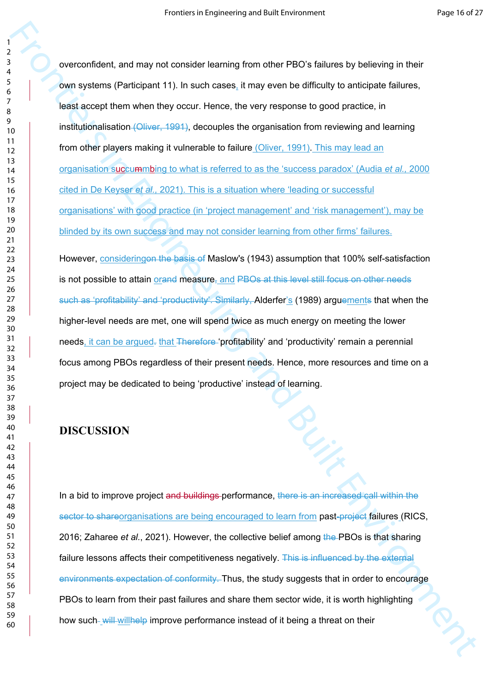Frontiers in the main of the main of the main of the main of the main of the main of the main of the main of the main of the main of the main of the main of the main of the main of the main of the main of the main of the m overconfident, and may not consider learning from other PBO's failures by believing in their own systems (Participant 11). In such cases, it may even be difficulty to anticipate failures, least accept them when they occur. Hence, the very response to good practice, in institutionalisation (Oliver, 1991), decouples the organisation from reviewing and learning from other players making it vulnerable to failure (Oliver, 1991). This may lead an organisation succummbing to what is referred to as the 'success paradox' (Audia *et al.,* 2000 cited in De Keyser *et al.,* 2021). This is a situation where 'leading or successful organisations' with good practice (in 'project management' and 'risk management'), may be blinded by its own success and may not consider learning from other firms' failures.

However, consideringon the basis of Maslow's (1943) assumption that 100% self-satisfaction is not possible to attain orand measure, and PBOs at this level still focus on other needs such as 'profitability' and 'productivity'. Similarly, Alderfer's (1989) arguements that when the higher-level needs are met, one will spend twice as much energy on meeting the lower needs, it can be argued. that Therefore 'profitability' and 'productivity' remain a perennial focus among PBOs regardless of their present needs. Hence, more resources and time on a project may be dedicated to being 'productive' instead of learning.

# **DISCUSSION**

In a bid to improve project and buildings performance, there is an increased call within the sector to shareorganisations are being encouraged to learn from past-project failures (RICS, 2016; Zaharee *et al.*, 2021). However, the collective belief among the PBOs is that sharing failure lessons affects their competitiveness negatively. This is influenced by the external environments expectation of conformity. Thus, the study suggests that in order to encourage PBOs to learn from their past failures and share them sector wide, it is worth highlighting how such will will help improve performance instead of it being a threat on their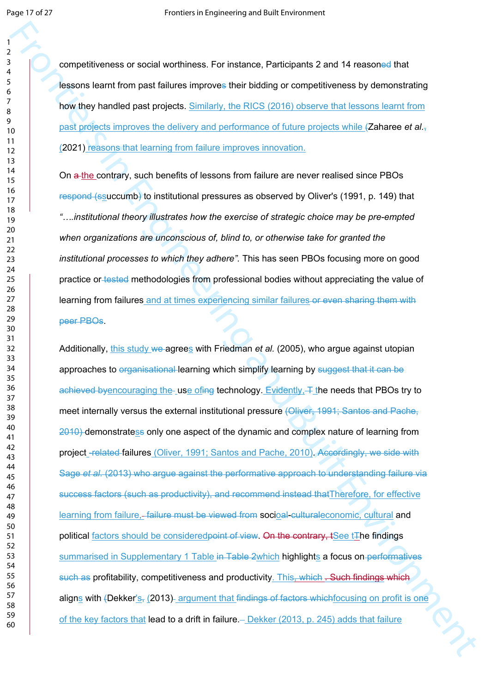competitiveness or social worthiness. For instance, Participants 2 and 14 reasoned that lessons learnt from past failures improves their bidding or competitiveness by demonstrating how they handled past projects. Similarly, the RICS (2016) observe that lessons learnt from past projects improves the delivery and performance of future projects while (Zaharee *et al.*, (2021) reasons that learning from failure improves innovation.

On a the contrary, such benefits of lessons from failure are never realised since PBOs respond (ssuccumb) to institutional pressures as observed by Oliver's (1991, p. 149) that *"….institutional theory illustrates how the exercise of strategic choice may be pre-empted when organizations are unconscious of, blind to, or otherwise take for granted the institutional processes to which they adhere".* This has seen PBOs focusing more on good practice or tested methodologies from professional bodies without appreciating the value of learning from failures and at times experiencing similar failures or even sharing them with peer PBOs.

For interesting and the matterial particle is a specifical particle in the matterial particle interesting<br>
The matterial particle interesting and Built Control and Built Control and Built Engine Control and Built Control a Additionally, this study we agrees with Friedman *et al.* (2005), who argue against utopian approaches to organisational learning which simplify learning by suggest that it can be achieved byencouraging the use of  $\theta$  achieved by Evidently,  $\pm$  the needs that PBOs try to meet internally versus the external institutional pressure (Oliver, 1991; Santos and Pache, 2010) demonstratess only one aspect of the dynamic and complex nature of learning from project -related failures (Oliver, 1991; Santos and Pache, 2010). Accordingly, we side with Sage *et al.* (2013) who argue against the performative approach to understanding failure via success factors (such as productivity), and recommend instead thatTherefore, for effective learning from failure,-failure must be viewed from socioal-culturaleconomic, cultural and political factors should be consideredpoint of view. On the contrary, tSee tThe findings summarised in Supplementary 1 Table in Table 2which highlights a focus on performatives such as profitability, competitiveness and productivity. This, which . Such findings which aligns with (Dekker's, (2013) argument that findings of factors which focusing on profit is one of the key factors that lead to a drift in failure.  $-$  Dekker (2013, p. 245) adds that failure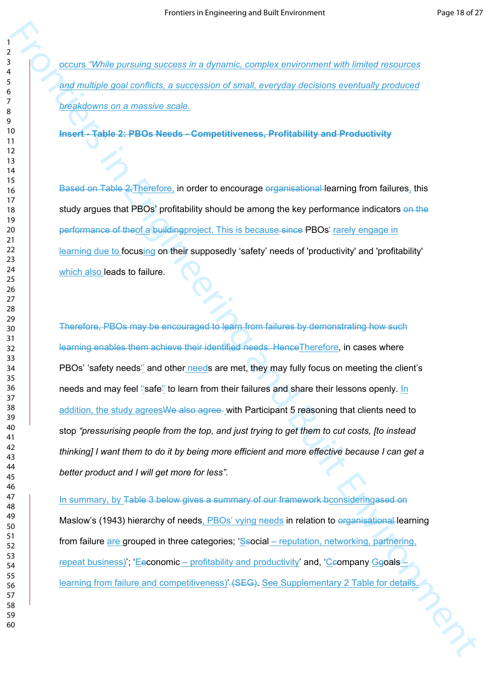occurs *"While pursuing success in a dynamic, complex environment with limited resources and multiple goal conflicts, a succession of small, everyday decisions eventually produced breakdowns on a massive scale.* 

**Insert - Table 2: PBOs Needs - Competitiveness, Profitability and Productivity**

Based on Table 2, Therefore, in order to encourage organisational learning from failures, this study argues that PBOs' profitability should be among the key performance indicators on the performance of theof a buildingproject. This is because since PBOs' rarely engage in learning due to focusing on their supposedly 'safety' needs of 'productivity' and 'profitability' which also leads to failure.

From the maximum success in a dynamic complex environment with initiat resources<br>
Any number and a concession of small, everyong viscilitative synchronic synchronic synchronic synchronic synchronic synchronic synchronic sy Therefore, PBOs may be encouraged to learn from failures by demonstrating how such learning enables them achieve their identified needs. HenceTherefore, in cases where PBOs' 'safety needs" and other needs are met, they may fully focus on meeting the client's needs and may feel "safe" to learn from their failures and share their lessons openly. In addition, the study agrees We also agree with Participant 5 reasoning that clients need to stop *"pressurising people from the top, and just trying to get them to cut costs, [to instead thinking] I want them to do it by being more efficient and more effective because I can get a better product and I will get more for less".*

In summary, by Table 3 below gives a summary of our framework bconsideringased on Maslow's (1943) hierarchy of needs, PBOs' vying needs in relation to organisational learning from failure are grouped in three categories; 'Ssocial – reputation, networking, partnering, repeat business)'; 'Eeconomic – profitability and productivity' and, 'Ceompany Ggoals – learning from failure and competitiveness) (SEG). See Supplementary 2 Table for details.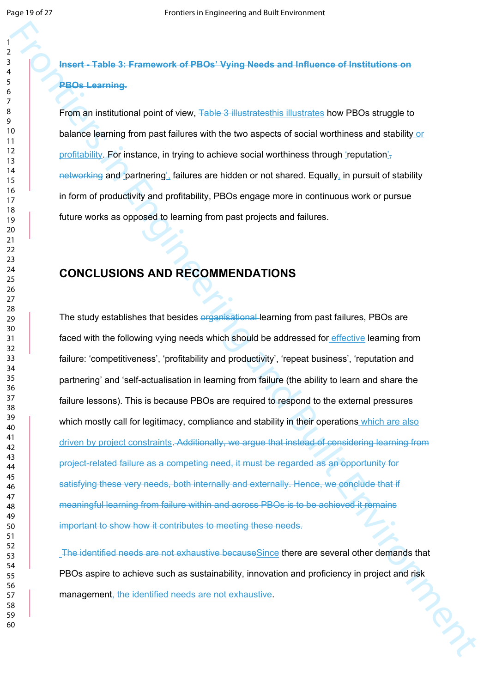# **Insert - Table 3: Framework of PBOs' Vying Needs and Influence of Institutions on PBOs Learning.**

From an institutional point of view. Table 3 illustratesthis illustrates how PBOs struggle to balance learning from past failures with the two aspects of social worthiness and stability or profitability. For instance, in trying to achieve social worthiness through 'reputation', networking and 'partnering', failures are hidden or not shared. Equally, in pursuit of stability in form of productivity and profitability, PBOs engage more in continuous work or pursue future works as opposed to learning from past projects and failures.

# **CONCLUSIONS AND RECOMMENDATIONS**

From the matrix in Englishering the state of the matrix in the system of the matrix is the matrix of the matrix in the matrix in the matrix in the matrix in the matrix in the matrix in the matrix in the matrix is the matri The study establishes that besides organisational learning from past failures, PBOs are faced with the following vying needs which should be addressed for effective learning from failure: 'competitiveness', 'profitability and productivity', 'repeat business', 'reputation and partnering' and 'self-actualisation in learning from failure (the ability to learn and share the failure lessons). This is because PBOs are required to respond to the external pressures which mostly call for legitimacy, compliance and stability in their operations which are also driven by project constraints. Additionally, we argue that instead of considering learning from project-related failure as a competing need, it must be regarded as an opportunity for satisfying these very needs, both internally and externally. Hence, we conclude that if meaningful learning from failure within and across PBOs is to be achieved it remains important to show how it contributes to meeting these needs.

 The identified needs are not exhaustive becauseSince there are several other demands that PBOs aspire to achieve such as sustainability, innovation and proficiency in project and risk management, the identified needs are not exhaustive.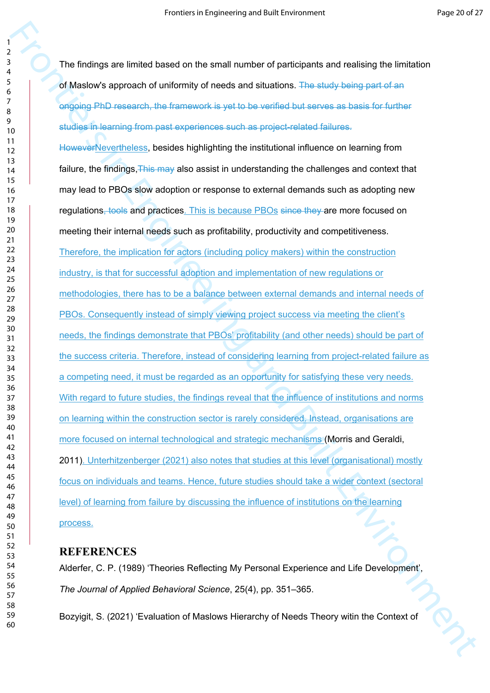The findings are limited based on the small number of participants and realising the limitation of Maslow's approach of uniformity of needs and situations. The study being part of an ongoing PhD research, the framework is yet to be verified but serves as basis for further studies in learning from past experiences such as project-related failures.

Frontiers is the main of the small number of participants and realising the limitation<br>of Maskwys supposed of unitarity of rieds and allowed to the stress part of an<br>engineering and the mass of unitarity of the small of th HoweverNevertheless, besides highlighting the institutional influence on learning from failure, the findings, This may also assist in understanding the challenges and context that may lead to PBOs slow adoption or response to external demands such as adopting new regulations, tools and practices. This is because PBOs since they are more focused on meeting their internal needs such as profitability, productivity and competitiveness. Therefore, the implication for actors (including policy makers) within the construction industry, is that for successful adoption and implementation of new regulations or methodologies, there has to be a balance between external demands and internal needs of PBOs. Consequently instead of simply viewing project success via meeting the client's needs, the findings demonstrate that PBOs' profitability (and other needs) should be part of the success criteria. Therefore, instead of considering learning from project-related failure as a competing need, it must be regarded as an opportunity for satisfying these very needs. With regard to future studies, the findings reveal that the influence of institutions and norms on learning within the construction sector is rarely considered. Instead, organisations are more focused on internal technological and strategic mechanisms (Morris and Geraldi, 2011). Unterhitzenberger (2021) also notes that studies at this level (organisational) mostly focus on individuals and teams. Hence, future studies should take a wider context (sectoral level) of learning from failure by discussing the influence of institutions on the learning process.

# **REFERENCES**

Alderfer, C. P. (1989) 'Theories Reflecting My Personal Experience and Life Development', *The Journal of Applied Behavioral Science*, 25(4), pp. 351–365.

Bozyigit, S. (2021) 'Evaluation of Maslows Hierarchy of Needs Theory witin the Context of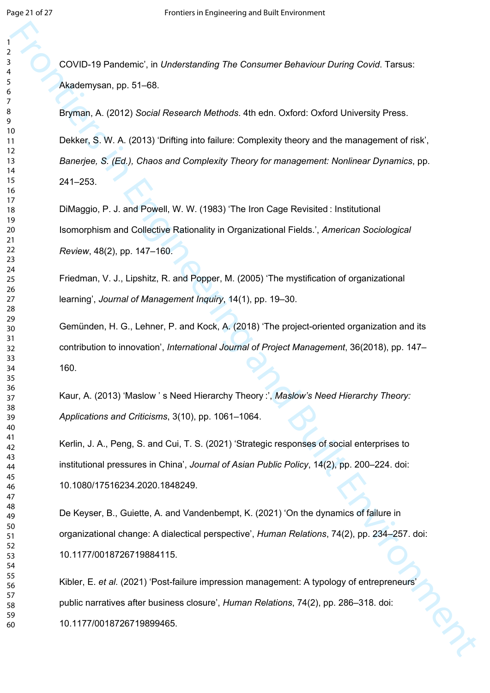COVID-19 Pandemic', in *Understanding The Consumer Behaviour During Covid*. Tarsus: Akademysan, pp. 51–68.

Frontiers in Engineering and Theoretical Properties in Consumer Reference Covid Tereus:<br>
From A. (2013) Secient Research Methods 48: edn. Oxford: Oxford University Pross.<br>
From A. (2013) Secient Research Methods 48: edn. O Bryman, A. (2012) *Social Research Methods*. 4th edn. Oxford: Oxford University Press. Dekker, S. W. A. (2013) 'Drifting into failure: Complexity theory and the management of risk', *Banerjee, S. (Ed.), Chaos and Complexity Theory for management: Nonlinear Dynamics*, pp. 241–253.

DiMaggio, P. J. and Powell, W. W. (1983) 'The Iron Cage Revisited : Institutional Isomorphism and Collective Rationality in Organizational Fields.', *American Sociological Review*, 48(2), pp. 147–160.

Friedman, V. J., Lipshitz, R. and Popper, M. (2005) 'The mystification of organizational learning', *Journal of Management Inquiry*, 14(1), pp. 19–30.

Gemünden, H. G., Lehner, P. and Kock, A. (2018) 'The project-oriented organization and its contribution to innovation', *International Journal of Project Management*, 36(2018), pp. 147– 160.

Kaur, A. (2013) 'Maslow ' s Need Hierarchy Theory :', *Maslow's Need Hierarchy Theory: Applications and Criticisms*, 3(10), pp. 1061–1064.

Kerlin, J. A., Peng, S. and Cui, T. S. (2021) 'Strategic responses of social enterprises to institutional pressures in China', *Journal of Asian Public Policy*, 14(2), pp. 200–224. doi: 10.1080/17516234.2020.1848249.

De Keyser, B., Guiette, A. and Vandenbempt, K. (2021) 'On the dynamics of failure in organizational change: A dialectical perspective', *Human Relations*, 74(2), pp. 234–257. doi: 10.1177/0018726719884115.

Kibler, E. *et al.* (2021) 'Post-failure impression management: A typology of entrepreneurs' public narratives after business closure', *Human Relations*, 74(2), pp. 286–318. doi: 10.1177/0018726719899465.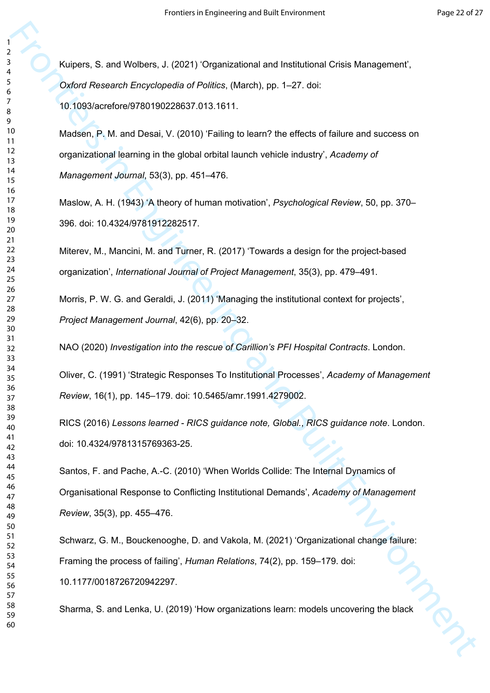Kuipers, S. and Wolbers, J. (2021) 'Organizational and Institutional Crisis Management', *Oxford Research Encyclopedia of Politics*, (March), pp. 1–27. doi: 10.1093/acrefore/9780190228637.013.1611.

Frontiers, 5. and Wolbers, J. (2021) Organizations and Institutional Crisis Management,<br>
Cyclocy Research Encyclopedia of Points, Material, pp. 1–27, cot:<br>
10.0234ordfree/760-00022637.013.1611.<br>
10.0234ordfree/760-00022637 Madsen, P. M. and Desai, V. (2010) 'Failing to learn? the effects of failure and success on organizational learning in the global orbital launch vehicle industry', *Academy of Management Journal*, 53(3), pp. 451–476.

Maslow, A. H. (1943) 'A theory of human motivation', *Psychological Review*, 50, pp. 370– 396. doi: 10.4324/9781912282517.

Miterev, M., Mancini, M. and Turner, R. (2017) 'Towards a design for the project-based organization', *International Journal of Project Management*, 35(3), pp. 479–491.

Morris, P. W. G. and Geraldi, J. (2011) 'Managing the institutional context for projects', *Project Management Journal*, 42(6), pp. 20–32.

NAO (2020) *Investigation into the rescue of Carillion's PFI Hospital Contracts*. London.

Oliver, C. (1991) 'Strategic Responses To Institutional Processes', *Academy of Management Review*, 16(1), pp. 145–179. doi: 10.5465/amr.1991.4279002.

RICS (2016) *Lessons learned - RICS guidance note, Global.*, *RICS guidance note*. London. doi: 10.4324/9781315769363-25.

Santos, F. and Pache, A.-C. (2010) 'When Worlds Collide: The Internal Dynamics of Organisational Response to Conflicting Institutional Demands', *Academy of Management Review*, 35(3), pp. 455–476.

Schwarz, G. M., Bouckenooghe, D. and Vakola, M. (2021) 'Organizational change failure: Framing the process of failing', *Human Relations*, 74(2), pp. 159–179. doi: 10.1177/0018726720942297.

Sharma, S. and Lenka, U. (2019) 'How organizations learn: models uncovering the black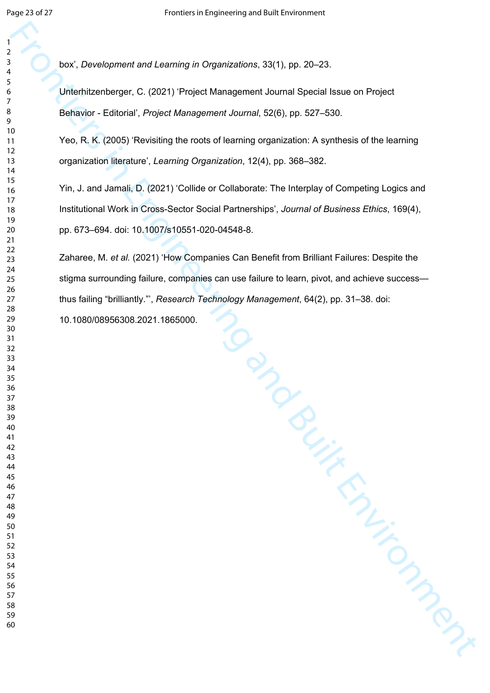box', *Development and Learning in Organizations*, 33(1), pp. 20–23.

Unterhitzenberger, C. (2021) 'Project Management Journal Special Issue on Project Behavior - Editorial', *Project Management Journal*, 52(6), pp. 527–530.

Yeo, R. K. (2005) 'Revisiting the roots of learning organization: A synthesis of the learning organization literature', *Learning Organization*, 12(4), pp. 368–382.

Yin, J. and Jamali, D. (2021) 'Collide or Collaborate: The Interplay of Competing Logics and Institutional Work in Cross-Sector Social Partnerships', *Journal of Business Ethics*, 169(4), pp. 673–694. doi: 10.1007/s10551-020-04548-8.

Fallur Wennagen.<br>Built Engineering School Contract Contract on Manuson Zaharee, M. *et al.* (2021) 'How Companies Can Benefit from Brilliant Failures: Despite the stigma surrounding failure, companies can use failure to learn, pivot, and achieve success thus failing "brilliantly."', *Research Technology Management*, 64(2), pp. 31–38. doi: 10.1080/08956308.2021.1865000.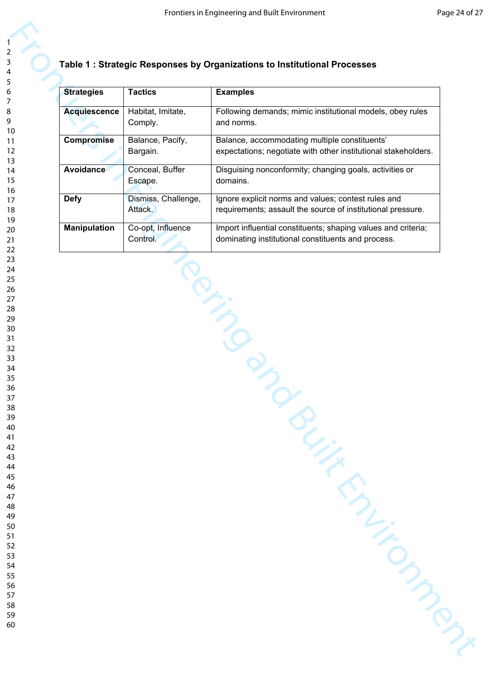# **Table 1 : Strategic Responses by Organizations to Institutional Processes**

| <b>Strategies</b>   | <b>Tactics</b>                 | <b>Examples</b>                                                                                                     |
|---------------------|--------------------------------|---------------------------------------------------------------------------------------------------------------------|
| <b>Acquiescence</b> | Habitat, Imitate,<br>Comply.   | Following demands; mimic institutional models, obey rules<br>and norms.                                             |
| <b>Compromise</b>   | Balance, Pacify,<br>Bargain.   | Balance, accommodating multiple constituents'<br>expectations; negotiate with other institutional stakeholders.     |
| Avoidance           | Conceal, Buffer<br>Escape.     | Disguising nonconformity; changing goals, activities or<br>domains.                                                 |
| <b>Defy</b>         | Dismiss, Challenge,<br>Attack. | Ignore explicit norms and values; contest rules and<br>requirements; assault the source of institutional pressure.  |
| <b>Manipulation</b> | Co-opt, Influence<br>Control.  | Import influential constituents; shaping values and criteria;<br>dominating institutional constituents and process. |
|                     |                                |                                                                                                                     |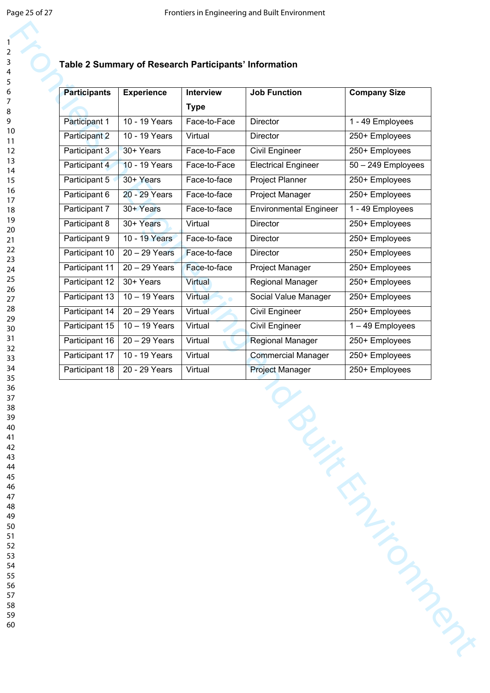|                     | <b>Table 2 Summary of Research Participants</b> |           |
|---------------------|-------------------------------------------------|-----------|
| <b>Participants</b> | <b>Experience</b>                               | Interview |

## **S'** Information

| <b>Participants</b> | <b>Experience</b> | Interview      | <b>Job Function</b>           | <b>Company Size</b>  |
|---------------------|-------------------|----------------|-------------------------------|----------------------|
|                     |                   | <b>Type</b>    |                               |                      |
| Participant 1       | 10 - 19 Years     | Face-to-Face   | <b>Director</b>               | 1 - 49 Employees     |
| Participant 2       | 10 - 19 Years     | Virtual        | Director                      | 250+ Employees       |
| Participant 3       | 30+ Years         | Face-to-Face   | <b>Civil Engineer</b>         | 250+ Employees       |
| Participant 4       | 10 - 19 Years     | Face-to-Face   | <b>Electrical Engineer</b>    | $50 - 249$ Employees |
| Participant 5       | 30+ Years         | Face-to-face   | Project Planner               | 250+ Employees       |
| Participant 6       | 20 - 29 Years     | Face-to-face   | Project Manager               | 250+ Employees       |
| Participant 7       | 30+ Years         | Face-to-face   | <b>Environmental Engineer</b> | 1 - 49 Employees     |
| Participant 8       | 30+ Years         | Virtual        | <b>Director</b>               | 250+ Employees       |
| Participant 9       | 10 - 19 Years     | Face-to-face   | <b>Director</b>               | 250+ Employees       |
| Participant 10      | $20 - 29$ Years   | Face-to-face   | <b>Director</b>               | 250+ Employees       |
| Participant 11      | $20 - 29$ Years   | Face-to-face   | Project Manager               | 250+ Employees       |
| Participant 12      | 30+ Years         | <b>Virtual</b> | Regional Manager              | 250+ Employees       |
| Participant 13      | $10 - 19$ Years   | Virtual        | Social Value Manager          | 250+ Employees       |
| Participant 14      | $20 - 29$ Years   | Virtual        | Civil Engineer                | 250+ Employees       |
| Participant 15      | $10 - 19$ Years   | Virtual        | Civil Engineer                | 1-49 Employees       |
| Participant 16      | $20 - 29$ Years   | Virtual        | Regional Manager              | 250+ Employees       |
| Participant 17      | 10 - 19 Years     | Virtual        | <b>Commercial Manager</b>     | 250+ Employees       |
| Participant 18      | 20 - 29 Years     | Virtual        | <b>Project Manager</b>        | 250+ Employees       |
|                     |                   |                |                               |                      |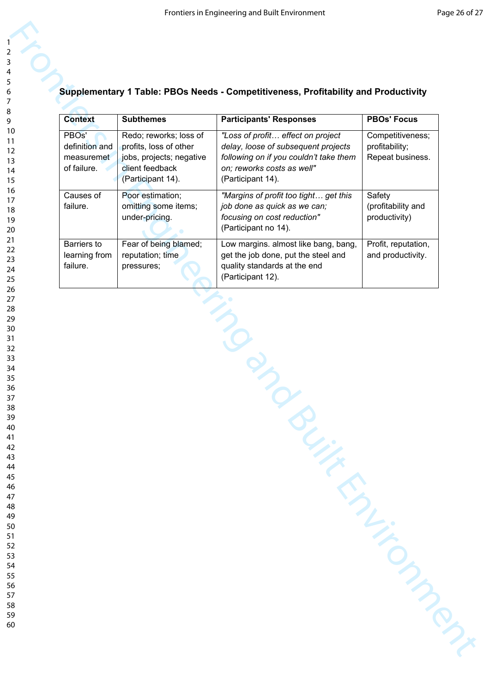| <b>Context</b>                                                    | <b>Subthemes</b>                                                                                                     | <b>Participants' Responses</b>                                                                                                                                        | <b>PBOs' Focus</b>                                     |
|-------------------------------------------------------------------|----------------------------------------------------------------------------------------------------------------------|-----------------------------------------------------------------------------------------------------------------------------------------------------------------------|--------------------------------------------------------|
| PBO <sub>s</sub> '<br>definition and<br>measuremet<br>of failure. | Redo; reworks; loss of<br>profits, loss of other<br>jobs, projects; negative<br>client feedback<br>(Participant 14). | "Loss of profit effect on project<br>delay, loose of subsequent projects<br>following on if you couldn't take them<br>on; reworks costs as well"<br>(Participant 14). | Competitiveness;<br>profitability;<br>Repeat business. |
| Causes of<br>failure.                                             | Poor estimation;<br>omitting some items;<br>under-pricing.                                                           | "Margins of profit too tight get this<br>job done as quick as we can;<br>focusing on cost reduction"<br>(Participant no 14).                                          | Safety<br>(profitability and<br>productivity)          |
| Barriers to<br>learning from<br>failure.                          | Fear of being blamed;<br>reputation; time<br>pressures;                                                              | Low margins. almost like bang, bang,<br>get the job done, put the steel and<br>quality standards at the end<br>(Participant 12).                                      | Profit, reputation,<br>and productivity.               |
|                                                                   |                                                                                                                      |                                                                                                                                                                       |                                                        |